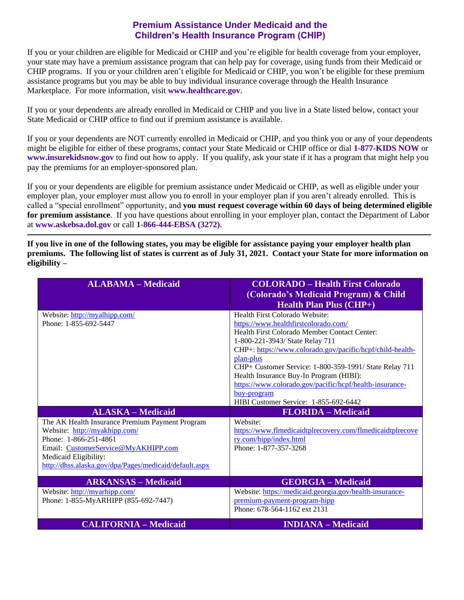## **Premium Assistance Under Medicaid and the Children's Health Insurance Program (CHIP)**

If you or your children are eligible for Medicaid or CHIP and you're eligible for health coverage from your employer, your state may have a premium assistance program that can help pay for coverage, using funds from their Medicaid or CHIP programs. If you or your children aren't eligible for Medicaid or CHIP, you won't be eligible for these premium assistance programs but you may be able to buy individual insurance coverage through the Health Insurance Marketplace. For more information, visit **[www.healthcare.gov](http://www.healthcare.gov/)**.

If you or your dependents are already enrolled in Medicaid or CHIP and you live in a State listed below, contact your State Medicaid or CHIP office to find out if premium assistance is available.

If you or your dependents are NOT currently enrolled in Medicaid or CHIP, and you think you or any of your dependents might be eligible for either of these programs, contact your State Medicaid or CHIP office or dial **1-877-KIDS NOW** or **[www.insurekidsnow.gov](http://www.insurekidsnow.gov/)** to find out how to apply. If you qualify, ask your state if it has a program that might help you pay the premiums for an employer-sponsored plan.

If you or your dependents are eligible for premium assistance under Medicaid or CHIP, as well as eligible under your employer plan, your employer must allow you to enroll in your employer plan if you aren't already enrolled. This is called a "special enrollment" opportunity, and **you must request coverage within 60 days of being determined eligible for premium assistance**. If you have questions about enrolling in your employer plan, contact the Department of Labor at **[www.askebsa.dol.gov](http://www.askebsa.dol.gov/)** or call **1-866-444-EBSA (3272)**.

**If you live in one of the following states, you may be eligible for assistance paying your employer health plan premiums. The following list of states is current as of July 31, 2021. Contact your State for more information on eligibility –**

| <b>ALABAMA - Medicaid</b>                                                                                                                                                                                                           | <b>COLORADO – Health First Colorado</b><br>(Colorado's Medicaid Program) & Child<br><b>Health Plan Plus (CHP+)</b>                                                                                                                                                                                                                                                                                                                                          |
|-------------------------------------------------------------------------------------------------------------------------------------------------------------------------------------------------------------------------------------|-------------------------------------------------------------------------------------------------------------------------------------------------------------------------------------------------------------------------------------------------------------------------------------------------------------------------------------------------------------------------------------------------------------------------------------------------------------|
| Website: http://myalhipp.com/<br>Phone: 1-855-692-5447                                                                                                                                                                              | Health First Colorado Website:<br>https://www.healthfirstcolorado.com/<br>Health First Colorado Member Contact Center:<br>1-800-221-3943/ State Relay 711<br>CHP+: https://www.colorado.gov/pacific/hcpf/child-health-<br>plan-plus<br>CHP+ Customer Service: 1-800-359-1991/ State Relay 711<br>Health Insurance Buy-In Program (HIBI):<br>https://www.colorado.gov/pacific/hcpf/health-insurance-<br>buy-program<br>HIBI Customer Service: 1-855-692-6442 |
| <b>ALASKA – Medicaid</b>                                                                                                                                                                                                            | <b>FLORIDA</b> – Medicaid                                                                                                                                                                                                                                                                                                                                                                                                                                   |
| The AK Health Insurance Premium Payment Program<br>Website: http://myakhipp.com/<br>Phone: 1-866-251-4861<br>Email: CustomerService@MyAKHIPP.com<br>Medicaid Eligibility:<br>http://dhss.alaska.gov/dpa/Pages/medicaid/default.aspx | Website:<br>https://www.flmedicaidtplrecovery.com/flmedicaidtplrecove<br>ry.com/hipp/index.html<br>Phone: 1-877-357-3268                                                                                                                                                                                                                                                                                                                                    |
| <b>ARKANSAS – Medicaid</b>                                                                                                                                                                                                          | <b>GEORGIA - Medicaid</b>                                                                                                                                                                                                                                                                                                                                                                                                                                   |
| Website: http://myarhipp.com/<br>Phone: 1-855-MyARHIPP (855-692-7447)                                                                                                                                                               | Website: https://medicaid.georgia.gov/health-insurance-                                                                                                                                                                                                                                                                                                                                                                                                     |
|                                                                                                                                                                                                                                     | premium-payment-program-hipp<br>Phone: 678-564-1162 ext 2131                                                                                                                                                                                                                                                                                                                                                                                                |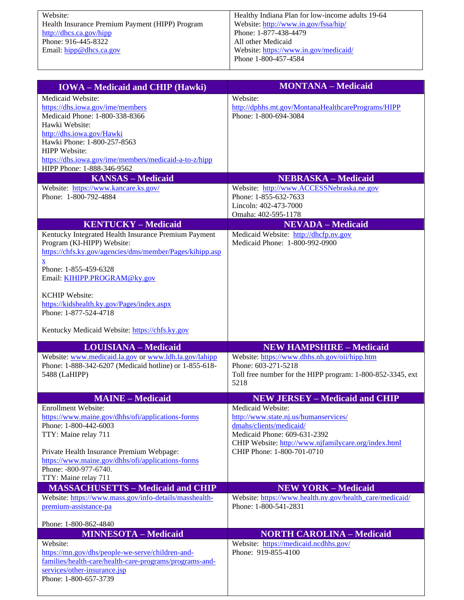Website: Health Insurance Premium Payment (HIPP) Program <http://dhcs.ca.gov/hipp> Phone: 916-445-8322 Email: [hipp@dhcs.ca.gov](mailto:hipp@dhcs.ca.gov)

| <b>IOWA</b> - Medicaid and CHIP (Hawki)                                                | <b>MONTANA - Medicaid</b>                                               |
|----------------------------------------------------------------------------------------|-------------------------------------------------------------------------|
| Medicaid Website:                                                                      | Website:                                                                |
| https://dhs.iowa.gov/ime/members                                                       | http://dphhs.mt.gov/MontanaHealthcarePrograms/HIPP                      |
| Medicaid Phone: 1-800-338-8366                                                         | Phone: 1-800-694-3084                                                   |
| Hawki Website:<br>http://dhs.iowa.gov/Hawki                                            |                                                                         |
| Hawki Phone: 1-800-257-8563                                                            |                                                                         |
| <b>HIPP</b> Website:                                                                   |                                                                         |
| https://dhs.iowa.gov/ime/members/medicaid-a-to-z/hipp                                  |                                                                         |
| HIPP Phone: 1-888-346-9562                                                             |                                                                         |
| <b>KANSAS - Medicaid</b><br>Website: https://www.kancare.ks.gov/                       | <b>NEBRASKA - Medicaid</b><br>Website: http://www.ACCESSNebraska.ne.gov |
| Phone: 1-800-792-4884                                                                  | Phone: 1-855-632-7633                                                   |
|                                                                                        | Lincoln: 402-473-7000                                                   |
|                                                                                        | Omaha: 402-595-1178                                                     |
| <b>KENTUCKY - Medicaid</b>                                                             | <b>NEVADA</b> - Medicaid                                                |
| Kentucky Integrated Health Insurance Premium Payment                                   | Medicaid Website: http://dhcfp.nv.gov                                   |
| Program (KI-HIPP) Website:<br>https://chfs.ky.gov/agencies/dms/member/Pages/kihipp.asp | Medicaid Phone: 1-800-992-0900                                          |
| $\underline{\mathbf{X}}$                                                               |                                                                         |
| Phone: 1-855-459-6328                                                                  |                                                                         |
| Email: KIHIPP.PROGRAM@ky.gov                                                           |                                                                         |
| <b>KCHIP</b> Website:                                                                  |                                                                         |
| https://kidshealth.ky.gov/Pages/index.aspx                                             |                                                                         |
| Phone: 1-877-524-4718                                                                  |                                                                         |
|                                                                                        |                                                                         |
| Kentucky Medicaid Website: https://chfs.ky.gov                                         |                                                                         |
|                                                                                        |                                                                         |
| <b>LOUISIANA - Medicaid</b>                                                            | <b>NEW HAMPSHIRE - Medicaid</b>                                         |
| Website: www.medicaid.la.gov or www.ldh.la.gov/lahipp                                  | Website: https://www.dhhs.nh.gov/oii/hipp.htm                           |
| Phone: 1-888-342-6207 (Medicaid hotline) or 1-855-618-                                 | Phone: 603-271-5218                                                     |
| 5488 (LaHIPP)                                                                          | Toll free number for the HIPP program: 1-800-852-3345, ext              |
|                                                                                        | 5218                                                                    |
| <b>MAINE - Medicaid</b>                                                                | <b>NEW JERSEY - Medicaid and CHIP</b>                                   |
| <b>Enrollment Website:</b>                                                             | Medicaid Website:                                                       |
| https://www.maine.gov/dhhs/ofi/applications-forms                                      | http://www.state.nj.us/humanservices/                                   |
| Phone: 1-800-442-6003<br>TTY: Maine relay 711                                          | dmahs/clients/medicaid/<br>Medicaid Phone: 609-631-2392                 |
|                                                                                        | CHIP Website: http://www.njfamilycare.org/index.html                    |
| Private Health Insurance Premium Webpage:                                              | CHIP Phone: 1-800-701-0710                                              |
| https://www.maine.gov/dhhs/ofi/applications-forms                                      |                                                                         |
| Phone: -800-977-6740.                                                                  |                                                                         |
| TTY: Maine relay 711<br><b>MASSACHUSETTS - Medicaid and CHIP</b>                       | <b>NEW YORK - Medicaid</b>                                              |
| Website: https://www.mass.gov/info-details/masshealth-                                 | Website: https://www.health.ny.gov/health_care/medicaid/                |
| premium-assistance-pa                                                                  | Phone: 1-800-541-2831                                                   |
|                                                                                        |                                                                         |
| Phone: 1-800-862-4840                                                                  |                                                                         |
| <b>MINNESOTA - Medicaid</b><br>Website:                                                | <b>NORTH CAROLINA - Medicaid</b>                                        |
| https://mn.gov/dhs/people-we-serve/children-and-                                       | Website: https://medicaid.ncdhhs.gov/<br>Phone: 919-855-4100            |
| families/health-care/health-care-programs/programs-and-                                |                                                                         |
| services/other-insurance.jsp<br>Phone: 1-800-657-3739                                  |                                                                         |